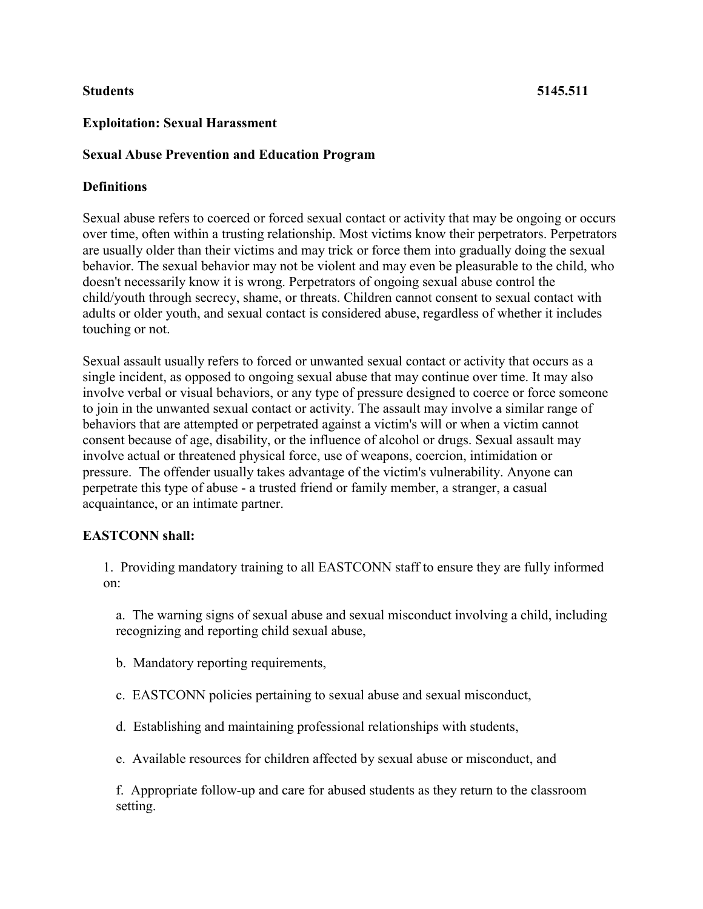# **Exploitation: Sexual Harassment**

# **Sexual Abuse Prevention and Education Program**

# **Definitions**

Sexual abuse refers to coerced or forced sexual contact or activity that may be ongoing or occurs over time, often within a trusting relationship. Most victims know their perpetrators. Perpetrators are usually older than their victims and may trick or force them into gradually doing the sexual behavior. The sexual behavior may not be violent and may even be pleasurable to the child, who doesn't necessarily know it is wrong. Perpetrators of ongoing sexual abuse control the child/youth through secrecy, shame, or threats. Children cannot consent to sexual contact with adults or older youth, and sexual contact is considered abuse, regardless of whether it includes touching or not.

Sexual assault usually refers to forced or unwanted sexual contact or activity that occurs as a single incident, as opposed to ongoing sexual abuse that may continue over time. It may also involve verbal or visual behaviors, or any type of pressure designed to coerce or force someone to join in the unwanted sexual contact or activity. The assault may involve a similar range of behaviors that are attempted or perpetrated against a victim's will or when a victim cannot consent because of age, disability, or the influence of alcohol or drugs. Sexual assault may involve actual or threatened physical force, use of weapons, coercion, intimidation or pressure. The offender usually takes advantage of the victim's vulnerability. Anyone can perpetrate this type of abuse - a trusted friend or family member, a stranger, a casual acquaintance, or an intimate partner.

# **EASTCONN shall:**

1. Providing mandatory training to all EASTCONN staff to ensure they are fully informed on:

a. The warning signs of sexual abuse and sexual misconduct involving a child, including recognizing and reporting child sexual abuse,

- b. Mandatory reporting requirements,
- c. EASTCONN policies pertaining to sexual abuse and sexual misconduct,
- d. Establishing and maintaining professional relationships with students,
- e. Available resources for children affected by sexual abuse or misconduct, and

f. Appropriate follow-up and care for abused students as they return to the classroom setting.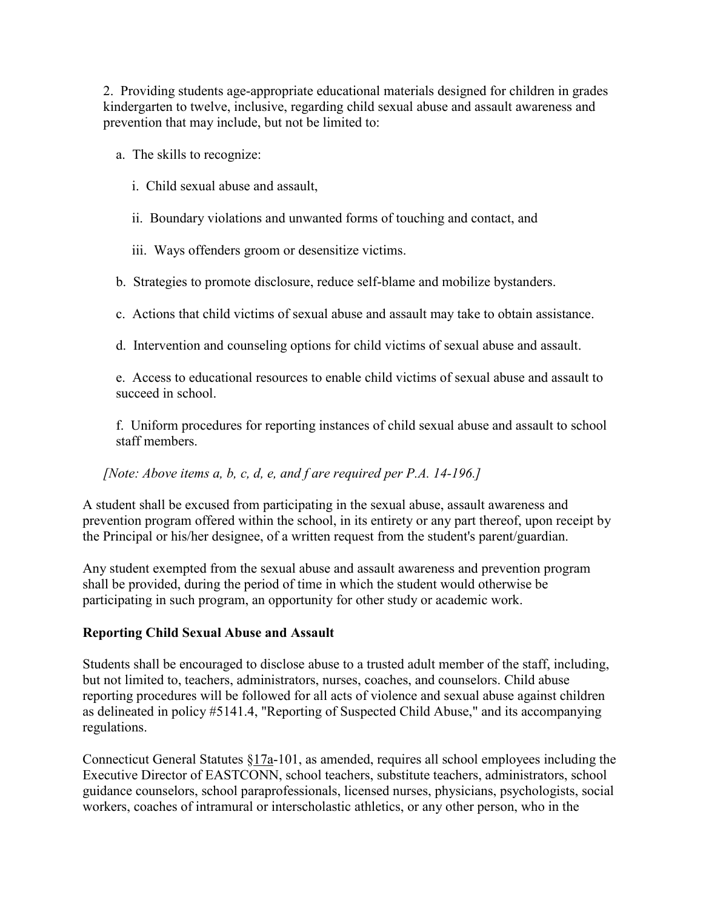2. Providing students age-appropriate educational materials designed for children in grades kindergarten to twelve, inclusive, regarding child sexual abuse and assault awareness and prevention that may include, but not be limited to:

a. The skills to recognize:

- i. Child sexual abuse and assault,
- ii. Boundary violations and unwanted forms of touching and contact, and
- iii. Ways offenders groom or desensitize victims.

b. Strategies to promote disclosure, reduce self-blame and mobilize bystanders.

c. Actions that child victims of sexual abuse and assault may take to obtain assistance.

d. Intervention and counseling options for child victims of sexual abuse and assault.

e. Access to educational resources to enable child victims of sexual abuse and assault to succeed in school.

f. Uniform procedures for reporting instances of child sexual abuse and assault to school staff members.

# *[Note: Above items a, b, c, d, e, and f are required per P.A. 14-196.]*

A student shall be excused from participating in the sexual abuse, assault awareness and prevention program offered within the school, in its entirety or any part thereof, upon receipt by the Principal or his/her designee, of a written request from the student's parent/guardian.

Any student exempted from the sexual abuse and assault awareness and prevention program shall be provided, during the period of time in which the student would otherwise be participating in such program, an opportunity for other study or academic work.

#### **Reporting Child Sexual Abuse and Assault**

Students shall be encouraged to disclose abuse to a trusted adult member of the staff, including, but not limited to, teachers, administrators, nurses, coaches, and counselors. Child abuse reporting procedures will be followed for all acts of violence and sexual abuse against children as delineated in policy #5141.4, "Reporting of Suspected Child Abuse," and its accompanying regulations.

Connecticut General Statutes [§17a-](http://www.cga.ct.gov/2011/pub/Title17a.htm)101, as amended, requires all school employees including the Executive Director of EASTCONN, school teachers, substitute teachers, administrators, school guidance counselors, school paraprofessionals, licensed nurses, physicians, psychologists, social workers, coaches of intramural or interscholastic athletics, or any other person, who in the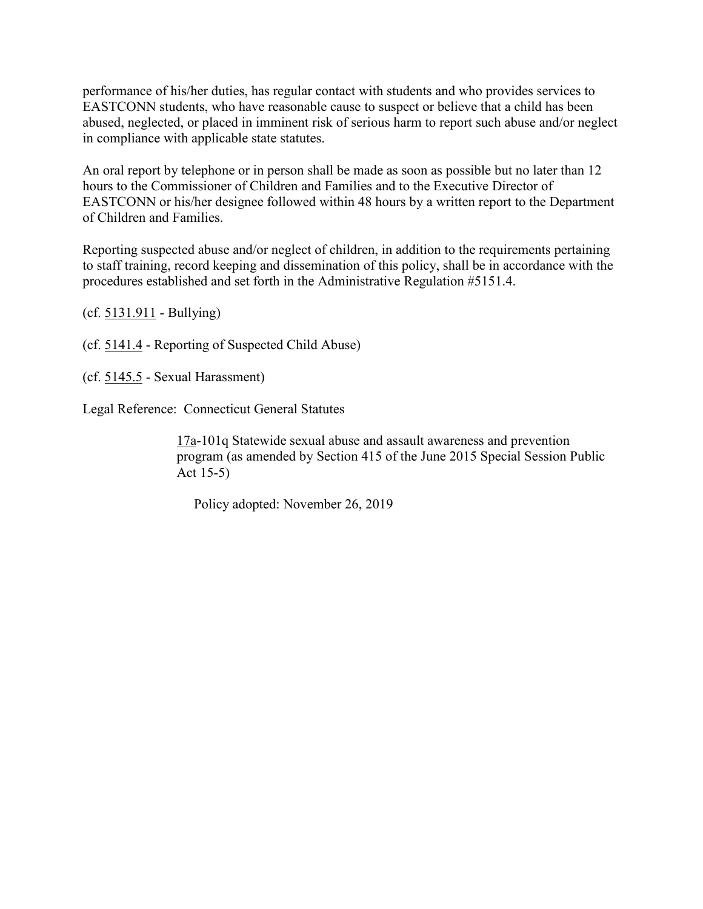performance of his/her duties, has regular contact with students and who provides services to EASTCONN students, who have reasonable cause to suspect or believe that a child has been abused, neglected, or placed in imminent risk of serious harm to report such abuse and/or neglect in compliance with applicable state statutes.

An oral report by telephone or in person shall be made as soon as possible but no later than 12 hours to the Commissioner of Children and Families and to the Executive Director of EASTCONN or his/her designee followed within 48 hours by a written report to the Department of Children and Families.

Reporting suspected abuse and/or neglect of children, in addition to the requirements pertaining to staff training, record keeping and dissemination of this policy, shall be in accordance with the procedures established and set forth in the Administrative Regulation #5151.4.

(cf. [5131.911](http://z2policy.cabe.org/cabe/DocViewer.jsp?docid=281&z2collection=core#JD_5131.911) - Bullying)

(cf. [5141.4](http://z2policy.cabe.org/cabe/DocViewer.jsp?docid=302&z2collection=core#JD_5141.4) - Reporting of Suspected Child Abuse)

(cf. [5145.5](http://z2policy.cabe.org/cabe/DocViewer.jsp?docid=338&z2collection=core#JD_5145.5) - Sexual Harassment)

Legal Reference: Connecticut General Statutes

[17a-](http://www.cga.ct.gov/2011/pub/Title17a.htm)101q Statewide sexual abuse and assault awareness and prevention program (as amended by Section 415 of the June 2015 Special Session Public Act 15-5)

Policy adopted: November 26, 2019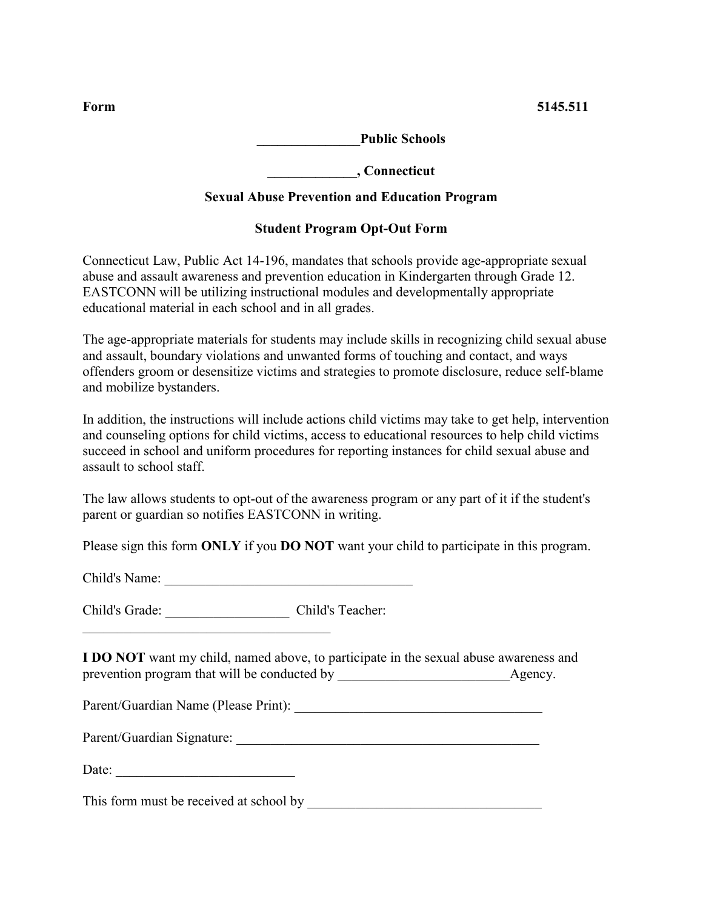**\_\_\_\_\_\_\_\_\_\_\_\_\_\_\_Public Schools**

**\_\_\_\_\_\_\_\_\_\_\_\_\_, Connecticut**

# **Sexual Abuse Prevention and Education Program**

# **Student Program Opt-Out Form**

Connecticut Law, Public Act 14-196, mandates that schools provide age-appropriate sexual abuse and assault awareness and prevention education in Kindergarten through Grade 12. EASTCONN will be utilizing instructional modules and developmentally appropriate educational material in each school and in all grades.

The age-appropriate materials for students may include skills in recognizing child sexual abuse and assault, boundary violations and unwanted forms of touching and contact, and ways offenders groom or desensitize victims and strategies to promote disclosure, reduce self-blame and mobilize bystanders.

In addition, the instructions will include actions child victims may take to get help, intervention and counseling options for child victims, access to educational resources to help child victims succeed in school and uniform procedures for reporting instances for child sexual abuse and assault to school staff.

The law allows students to opt-out of the awareness program or any part of it if the student's parent or guardian so notifies EASTCONN in writing.

Please sign this form **ONLY** if you **DO NOT** want your child to participate in this program.

Child's Name:

Child's Grade: \_\_\_\_\_\_\_\_\_\_\_\_\_\_\_\_\_\_ Child's Teacher:

 $\mathcal{L}_\text{max}$  and  $\mathcal{L}_\text{max}$  and  $\mathcal{L}_\text{max}$  and  $\mathcal{L}_\text{max}$ 

**I DO NOT** want my child, named above, to participate in the sexual abuse awareness and prevention program that will be conducted by Agency.

Parent/Guardian Name (Please Print): \_\_\_\_\_\_\_\_\_\_\_\_\_\_\_\_\_\_\_\_\_\_\_\_\_\_\_\_\_\_\_\_\_\_\_\_

| Parent/Guardian Signature: |  |
|----------------------------|--|
|----------------------------|--|

Date:

This form must be received at school by \_\_\_\_\_\_\_\_\_\_\_\_\_\_\_\_\_\_\_\_\_\_\_\_\_\_\_\_\_\_\_\_\_\_